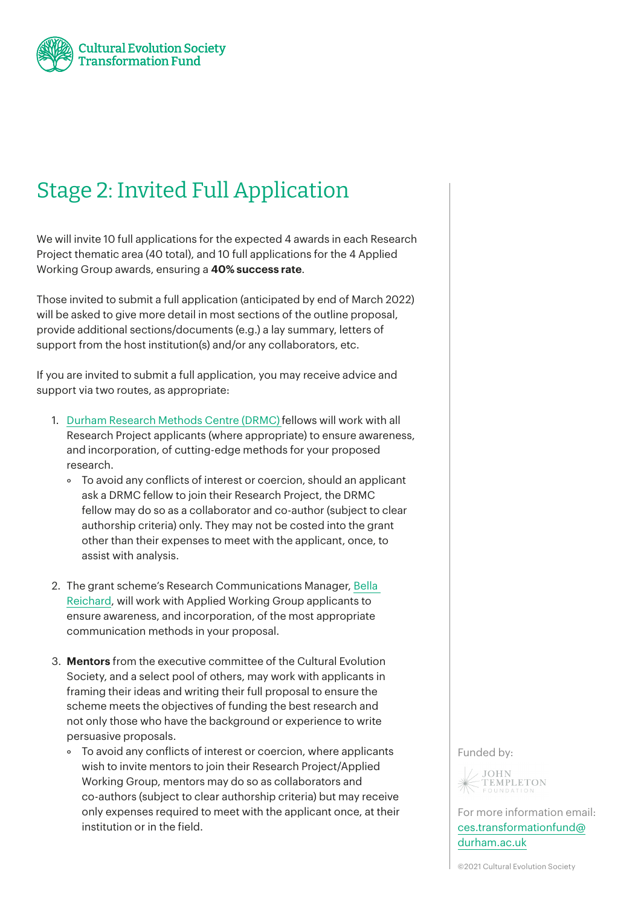

## Stage 2: Invited Full Application

We will invite 10 full applications for the expected 4 awards in each Research Project thematic area (40 total), and 10 full applications for the 4 Applied Working Group awards, ensuring a **40% success rate**.

Those invited to submit a full application (anticipated by end of March 2022) will be asked to give more detail in most sections of the outline proposal, provide additional sections/documents (e.g.) a lay summary, letters of support from the host institution(s) and/or any collaborators, etc.

If you are invited to submit a full application, you may receive advice and support via two routes, as appropriate:

- 1. [Durham Research Methods Centre](https://www.dur.ac.uk/researchmethodscentre/) (DRMC) fellows will work with all Research Project applicants (where appropriate) to ensure awareness, and incorporation, of cutting-edge methods for your proposed research.
	- ° To avoid any conflicts of interest or coercion, should an applicant ask a DRMC fellow to join their Research Project, the DRMC fellow may do so as a collaborator and co-author (subject to clear authorship criteria) only. They may not be costed into the grant other than their expenses to meet with the applicant, once, to assist with analysis.
- 2. The grant scheme's Research Communications Manager, [Bella](https://cesfund.wpengine.com/people/bella-reichard/)  [Reichard](https://cesfund.wpengine.com/people/bella-reichard/), will work with Applied Working Group applicants to ensure awareness, and incorporation, of the most appropriate communication methods in your proposal.
- 3. **Mentors** from the executive committee of the Cultural Evolution Society, and a select pool of others, may work with applicants in framing their ideas and writing their full proposal to ensure the scheme meets the objectives of funding the best research and not only those who have the background or experience to write persuasive proposals.
	- ° To avoid any conflicts of interest or coercion, where applicants wish to invite mentors to join their Research Project/Applied Working Group, mentors may do so as collaborators and co-authors (subject to clear authorship criteria) but may receive only expenses required to meet with the applicant once, at their institution or in the field.

## Funded by:



For more information email: [ces.transformationfund@](mailto:ces.transformationfund%40durham.ac.uk?subject=) [durham.ac.uk](mailto:ces.transformationfund%40durham.ac.uk?subject=)